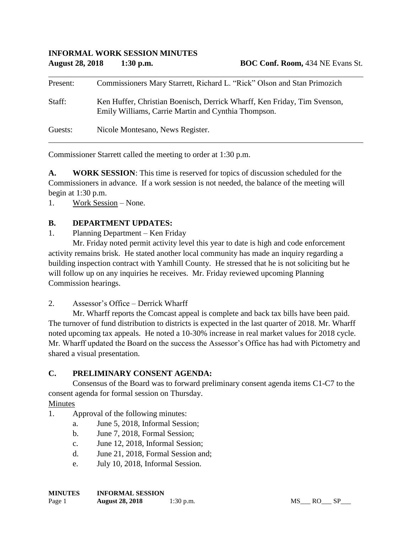| Present: | Commissioners Mary Starrett, Richard L. "Rick" Olson and Stan Primozich                                                         |
|----------|---------------------------------------------------------------------------------------------------------------------------------|
| Staff:   | Ken Huffer, Christian Boenisch, Derrick Wharff, Ken Friday, Tim Svenson,<br>Emily Williams, Carrie Martin and Cynthia Thompson. |
| Guests:  | Nicole Montesano, News Register.                                                                                                |

Commissioner Starrett called the meeting to order at 1:30 p.m.

**A. WORK SESSION**: This time is reserved for topics of discussion scheduled for the Commissioners in advance. If a work session is not needed, the balance of the meeting will begin at 1:30 p.m.

1. Work Session – None.

## **B. DEPARTMENT UPDATES:**

1. Planning Department – Ken Friday

Mr. Friday noted permit activity level this year to date is high and code enforcement activity remains brisk. He stated another local community has made an inquiry regarding a building inspection contract with Yamhill County. He stressed that he is not soliciting but he will follow up on any inquiries he receives. Mr. Friday reviewed upcoming Planning Commission hearings.

2. Assessor's Office – Derrick Wharff

Mr. Wharff reports the Comcast appeal is complete and back tax bills have been paid. The turnover of fund distribution to districts is expected in the last quarter of 2018. Mr. Wharff noted upcoming tax appeals. He noted a 10-30% increase in real market values for 2018 cycle. Mr. Wharff updated the Board on the success the Assessor's Office has had with Pictometry and shared a visual presentation.

# **C. PRELIMINARY CONSENT AGENDA:**

Consensus of the Board was to forward preliminary consent agenda items C1-C7 to the consent agenda for formal session on Thursday.

Minutes

- 1. Approval of the following minutes:
	- a. June 5, 2018, Informal Session;
	- b. June 7, 2018, Formal Session;
	- c. June 12, 2018, Informal Session;
	- d. June 21, 2018, Formal Session and;
	- e. July 10, 2018, Informal Session.